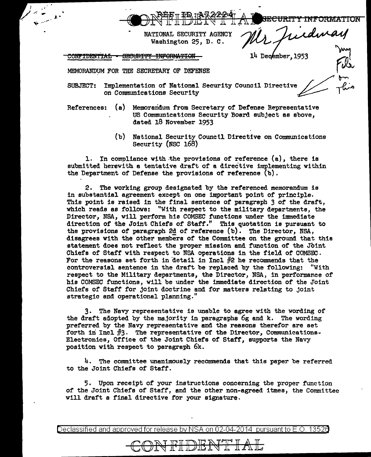**WORTHIDERS I AL SECURITY INFORMATION** 

*NATIONAL SECURITY AGENCY* Washington 25, D. C.

CONFIDENTIAL SECURITY INFORMATION

J .•

14 December, 195

MEMORANDUM FOR THE SECRETARY OF DEFENSE

- SUBJECT: Implementation of National Security Council Directive on Communications Security
- References: (a) Memorandum from Secretary of Defense Representative US Communications Security Board subject as above, dated 18 November 1953
	- (b) National Security Counctl Directive on Communications Security (NSC 168)

1. In compliance with the provisions of reference  $(a)$ , there is submitted herewith a tentative draft of a directive implementing within the Department of Defense the provisions of reference (b).

2. The working group designated by the referenced memorandum is in substantial agreement except on one important point of principle. This point is raised in the final sentence of paragraph 3 of the draft, which reeds as follows: "With respect to the military departments, the Director, NSA, will perform his COMSEC functions under the immediate direction of the Joint Chiefs of Staff." This quotation is pursuant to the provisions of paragraph 2d of reference  $(b)$ . The Director, NSA, disagrees with the other members of the Committee on the ground that this statement does not reflect the proper mission end function of the Joint Chiefs of Steff with respect to NSA operations in the field of COMSEC. For the reasons set forth in detail in Incl  $#2$  he recommends that the controversial sentence in the draft be replaced by the following: "With respect to the Military departments, the Director, NSA, in performance of hie COMSEC functions, will be under the immediate direction of the Joint Chiefs of Staff for joint doctrine end for matters relating to joint strategic end operational planning."

3. The Navy representative is unable to agree with the wording of the draft adopted by the ma,1ority in paragraphs 6g and k. The wording preferred by the Navy representative and the reasons therefor are set forth in Incl  $#3$ . The representative of the Director, Communications. Electronics, Office of the Joint Chiefs of Staff, supports the Navy position with respect to paragraph 6k.

 $4.$  The committee unanimously recommends that this paper be referred to the Joint Chiefs of Staff.

5. Upon receipt of your instructions concerning the proper function of the Joint Chiefs of Staff, and the other non-agreed itmes, the Committee will draft a final directive for your signature.

Declassified and approved for release by NSA on 02-04-2014 pursuantto E.O. 1352a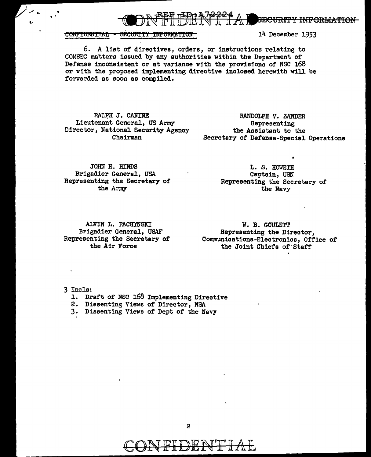

CONFIDENTIAL - SECURITY INFORMATION

14 December 1953

6. A list of directives, orders, or instructions relating to COMSEC matters issued by any authorities within the Department or Defense inconsistent or at variance with the provisions of NSC 168 or with the proposed implementing directive inclosed herewith will be forwarded as soon as compiled.

RALPH J. CANINE Lieutenant General, US Army Director, National Security Agency Chairman

RANDOLPH *V.* ZANDER Representing the Assistant to the Secretary of Defense-Special Operations

JOHN H. HINDS Brigadier General, USA Representing the Secretary of the Army

L. S. HOWETH Captain, USN Representing the Secretary of the Navy

ALVIN L. PACHYNSKI Brigadier General, USAF Representing the Secretary of the Air Force

W. B. GOULETT Representing the Director, Communications-Electronics, Office of the Joint Chiefs of 'Staff

3 Incle:

- l. Draft of' NSC 168 Implementing Directive
- 2. Dissenting Views of Director, NSA
- 3. Dissenting Views of Dept of the Navy



CON FIDENT LAL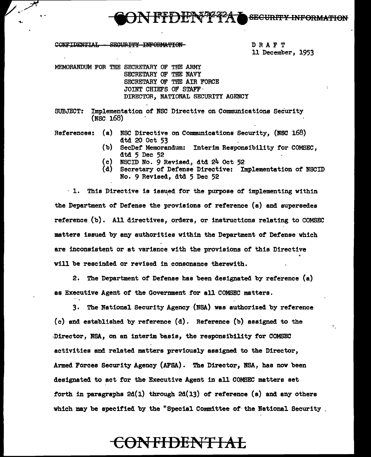FFDFF47 **SECURITY INFORMATION** 

**CONFIDENTIAL** SECURITY INFORMATION

'.

DRAFT 11 December, 1953

MEMORANDUM FOR THE SECRETARY OF THE ARMY SECRETARY OF THE NAVY SECRETARY OF THE AIR FORCE JOINT CHIEFS OF STAFF· DIRECTOR, NATIONAL SECURITY AGENCY

SUBJECT: Implementation of NSC Directive on Communications Security  $(NSC 168)$ 

References: (a) NSC Directive on Communications Security, (NSC 168) dtd 20 Oct 53

- (b) SecDef Memorandum: Interim Responsibility for COMSEC, dtd 5 Dec 52
- (c) NSCID No. 9 Revised, dtd 24 Oct 52
- (d) Secretary of Defense Directive: Implementation of NSCID No. 9 Revised, dtd 5 Dec 52

 $\cdot$  1. This Directive is issued for the purpose of implementing within the Department of Defense the provisions of reference (a) and supersedes reference (b). All directives, orders, or instructions relating to COMSEC matters issued by any authorities within the Department of Defense which are inconsistent or at variance with the provisions of this Directive will be rescinded or revised in consonance therewith.

2. The Department of Defense has been designated by reference (a) as Executive Agent of the Government for all COMSEC matters.

3. The National Security Agency (NSA) was authorized by reference (c) and established by reference (d). Reference (b) assigned to the ,Director, NSA, on en interim basis, the responsibility for COMSEC activities and related matters previously assigned to the Director, Armed Forces Security Agency (AFSA). The Director, NSA, has now been designated to act for the Executive Agent in all COMSEC matters set forth in paragraphs  $2d(1)$  through  $2d(13)$  of reference (a) and any others which may be specified by the "Special Committee of the National Security ,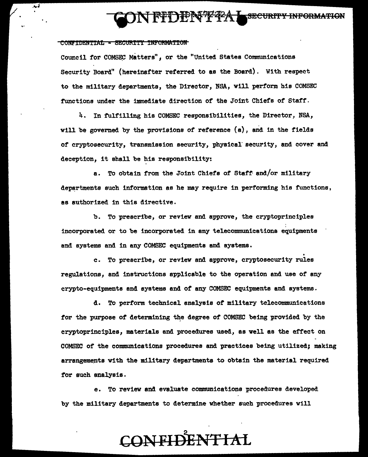## **REDENTTRAL SECURITY INFORMATION**

#### CONFIDENTIAL - SECURITY INFORMATION

... ;

Council for COMSEC Matters", or the "United States Communications Security Board" (hereinafter referred to as the Board). With respect to the military departments, the Director, NSA, will perform his COMSEC functions under the immediate direction of the Joint Chiefs of Staff.

4. In fulfilling his COMSEC responsibilities, the Director, NSA, will be governed by the provisions of reference (a), and in the fields of cryptosecurity, transmission security, physical· security, and cover and deception, it shall be his responsibility:

a. To obtain from the Joint Chiefs of Staff and/or military departments such information as he may require in performing his functions, as authorized in this directive.

b. To prescribe, or review and approve, the cryptoprinciples incorporated or to be incorporated in any telecommunications equipments and systems and in any COMSEC equipments and systems.

c. To prescribe, or review and approve, cryptosecurity rules regulations, and instructions applicable to the operation and use of any crypto-equipments and systems and of any COMSEC equipments and systems.

d. To perform technical analysis of military telecommunications for the purpose of determining the degree of COMSEC being provided by the cryptoprinciples, materials and procedures used, as well as the effect on COMSEC of the cormnunications procedures and practices being utilized; making arrangements with the military departments to obtain the material required for such analysis.

e. To review and evaluate communications procedures developed by the military departments to determine whether such procedures will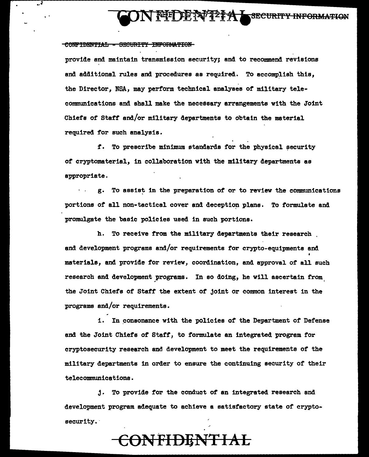**FULLY?? A SECURITY INFORMATION** 

#### CONFIDENTIAL - SECURITY INFORMATION

provide and maintain transmission security; and to recommend revisions and additional rules and procedures as required. To accomplish this, the Director, NSA, may perform technical analyses of military telecommunications and shall make the necessary arrangements with the Joint Chiefs of Staff' and/or mi11tary departments to obtain the material required for such analysis.

f. To prescribe minimum standards for the physical security of cryptomaterial, in collaboration with the military departments as appropriate.

g. To assist in the preparation of or to review the communications portions of all non-tactical cover and deception plans. To formulate and promulgate the basic policies used in such portions.

h. To receive from the military departments their research . and development programs and/or requirements for crypto-equipments and • materials, and provide for review, coordination, and approval of all such research and development programs. In so doing, he will ascertain from the Joint Chiefs of Staff' the extent of joint or common interest in the programs and/or requirements. I

i. In consonance with the policies of the Department of Defense and the Joint Chiefs of' Staff, to formulate an integrated program for cryptosecurity research and development to meet the requirements of the military departments in order to ensure the continuing security of their telecommunications.

 $j.$  To provide for the conduct of an integrated research and development program adequate to achieve a satisfactory state of cryptosecurity.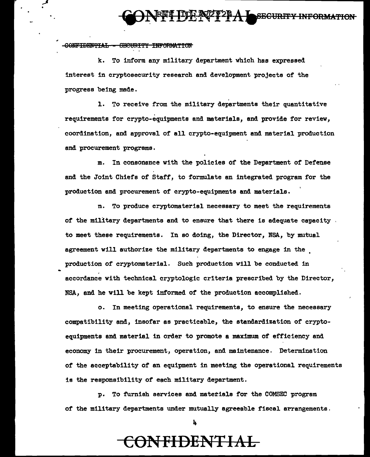#### **SECURITY INFORMATION**

CONFIDENTIAL GECURITY INFORMATION

k. To inform any military department which has expressed interest in cryptosecurity research and development projects of the progress being made.

1. To receive from the military departments their quantitative requirements for crypto-equipments and materials, and provide for review, coordination, and approval of all crypto-equipment and material production and procurement programs.

m. In consonance with the policies Of the Department of Defense and the Joint Chiefs of Staff, to formulate an integrated program for the production and procurement of crypto-equipments and materials.

n. To produce cryptomaterial necessary to meet the requirements of the military departments and to ensure that there is adequate capacity to meet these requirements. In so doing, the Director, NBA, by mutual agreement will authorize the military departments to engage in the . production of cryptomaterial. Such production will be conducted in accordance with technical cryptologic criteria prescribed by the Director, NSA, and he will be kept informed of the production accomplished.

o. In meeting operational requirements, to ensure the necessary compatibility and, insofar as practicable, the standardization of cryptoequipments and material in order to promote a maximum of efficiency and economy in their procurement, operation, and maintenance. Determination of the acceptability of an equipment in meeting the operational requirements is the responsibility of each military department.

p. To furnish services and materials for the COMSEC program of the military departments under mutually agreeable fiscal arrangements.

h.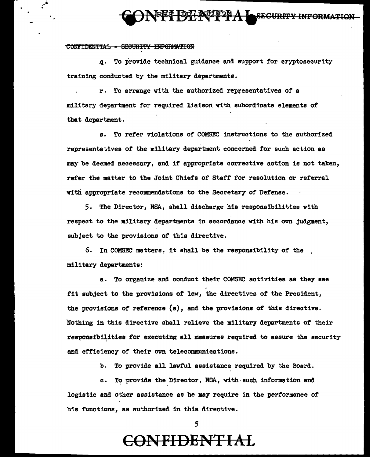# $^{2}$  - - - - - - - - - - -  $^{2}$  -  $^{2}$  -  $^{2}$  -  $^{2}$  -  $^{2}$  -  $^{2}$  -  $^{2}$  -  $^{2}$  -  $^{2}$  -  $^{2}$  -  $^{2}$  -  $^{2}$  -  $^{2}$  -  $^{2}$  -  $^{2}$  -  $^{2}$  -  $^{2}$  -  $^{2}$  -  $^{2}$  -  $^{2}$  -  $^{2}$  -  $^{2}$  -  $^{2}$  -  $^{2}$  -

#### CONFIDENTIAL - SECURITY INFORMATION

.<br>.<br>.

q. To provide technical guidance and support for cryptosecurity training conducted by the military departments.

r. To arrange with the authorized representatives of a military department for required liaison with subordinate elements of that department.

s. To refer violations of COMSEC instructions to the authorized representatives of the military department concerned for such action as may be deemed necessary, and if appropriate corrective action is not taken, refer the matter to the Joint Chiefs of Staff for resolution or referral with appropriate recommendations to the Secretary of Defense.

5. The Director, NSA, shall discharge his responsibilities with respect to the military departments in accordance with his own judgment, subject to the provisions of this directive.

6. In COMSEC matters, it shall be the responsibility of the military departments:

a. To organize and conduct their COMSEC activities as they see fit subject to the provisions of law, the directives of the President, the provisions of reference {a), and the provisions *ot* this directive. Nothing in this directive shall relieve the military departments of their responsibilities for executing all measures required to assure the security and efficiency of their own telecommunications.

b. To provide all lawful assistance required by the Board.

c. To provide the Director, NSA, with such information and logistic and other assistance as he may require in the performance of his functions, as authorized in this directive.

5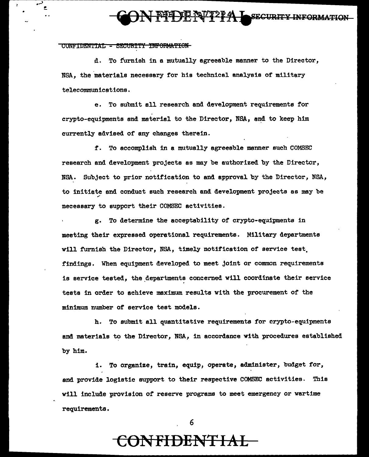# \* **CONFIDENT?PAL SECURITY INFORMATION**

CONFIDENTIAL - SECURITY INFORMATION

d. To furnish in a mutually agreeable manner to the Director, NSA, the materials necessary for his technical analysis of military telecommunications.

e. To submit all research and development requirements for crypto-equipments and material to the Director, NSA, and to keep him currently advised of any changes therein.

f. To accomplish in a mutually agreeable manner such COMSEC research and development projects as may be authorized by the Director, NSA. Subject to prior notification to and approval by the Director, NSA, to initiate and conduct such research and development projects as may be necessary to support their COMSEC activities.

g. To determine the acceptability of crypto-equipments in meeting their expressed operational requirements. Military departments will furnish the Director, NSA, timely notification of service test. findings. When equipment developed to meet joint or common requirements is service tested, the departments concerned will coordinate their service tests in order to achieve maximum results with the procurement of the minimum number of service test models.

h. To submit all quantitative requirements for crypto-equipments and materials to the Director, NSA, in accordance with procedures established by him.

i. To organize, train, equip, operate, administer, budget for, and provide logistic support to their respective COMSEC activities. This will include provision of reserve programs to meet emergency or wartime requirements.

6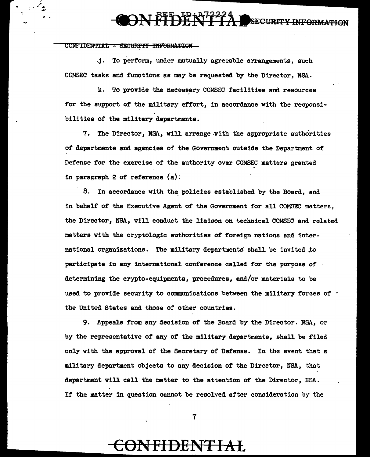## ON FFFOR N72224 SECURITY INFORMATION

CONFIDENTIAL - SECURITY INFORMATION

)~ . يوفيم. .  $\cdot$  . .

> .j. To perform, under mutually agreeable arrangements, such COMSEC tasks and functions as may be requested by the Director, NSA.

k. To provide the necessary COMSEC facilities and resources for the support of the military effort, in accordance with the reeponsibilities of the military departments.

7. The Director, NSA, will arrange.with the appropriate authorities of departments and agencies of the Government outside the Department *ot*  Defense for the exercise of the authority over COMSEC matters granted in paragraph 2 of reference  $(a)$ .

8. In accordance with the policies established by the Board, and in behalf of the Executive Agent of the Government for all COMSEC matters, the Director, NSA, will conduct the liaison on technical COMSEC and related matters with the cryptologic authorities of foreign nations and international organizations. The military departments shall be invited to participate in any international conference called for the purpose of determining the crypto-equipments, procedures, and/or materials to be used to provide security to communications between the military forces of  $\cdot$ the United States and those of other countries.

9. Appeals from any decision of the Board by the Director. NSA, or by the representative of any of the military departments, shell be filed only with the approval of the Secretary of Defense. In the event that a military department objects to any decision of the Director, NSA, that department will call the matter to the attention of the Director, NSA. If the matter in question cannot be resolved after consideration by the

7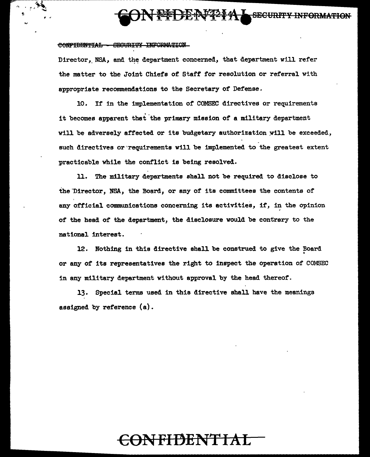# **CON PFDEN7274 SECURITY INFORMATION**

#### **CONFIDENTIAL CECURITY INFORMATION**

Director, NSA, and the department concerned, that department will refer the matter to the Joint Chiefs of. Staff for resolution or referral with appropriate recommendations to the Secretary of Defense.

10. If in the implementation of COMSEC directives or requirements it becomes apparent that 'the primary mission of a military department will be adversely affected or its budgetary authorization will be exceeded, such directives or'requirements will be implemented to the greatest extent practicable while the conflict is being resolved.

11. The military departments shall not be required to disclose to the Director, NSA, the Board, or any of its committees the contents of any official communications concerning its activities, if, in the opinion of the head of the department, the disclosure would be contrary to the national interest.

12. Nothing in this directive shall be construed to give the Board or any of its representatives the right to inspect the operation of COMSEC in any military department without approval by the head thereof.

13. Special terms used in this directive shall have the meanings assigned by reference (a).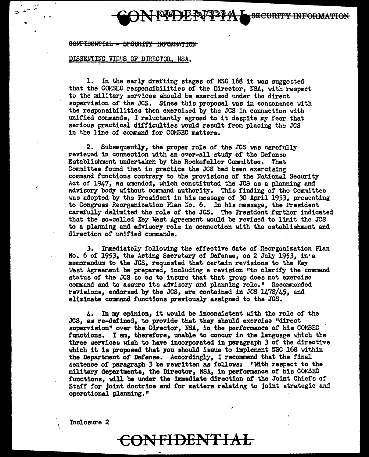**SECURITY INFORMATION** 

#### CONFIDENTIAL - SEGURITY INFORMATION

#### DISSENTING VIEWS OF DIRECTOR. NSA.

..... --,-

*!* ,..

 $\mathbf{r}$ 

1. In the early drafting stages or NSC 168 it was suggested that the COMSEC responsibilities of the Director, NSA, with respect to the military services should be exercised under the direct supervision or the JCS. Since this proposal was in consonance with the responsibilities then exercised by the JCS in connection with unified commands, I reluctantly agreed to it despite my fear that serious practical difficulties would result from placing the JCS in the line of command for COMSEC matters.

2. Subsequently, the proper role of the JCS was carefully reviewed in connection with an over-all study of the Defense Establishment undertaken by the Rockefeller Committee. That Committee found that in practice the JCS had been exercising command functions contrary to the provisions of the National Security Act of 1947, as amended, which constituted the JCS as a planning and advisory body without command authority. This finding of the Committee was adopted by the President in his message or *30* April 1953, presenting to Congress Reorganization Plan No. 6. In his message, the President carefully delimited the role of tho JCS. The President further indicated that the so-called Key West Agreement would be revised to limit the JCS to a planning and advisory role in connection with the establishment and direction of unified commands.

J. Immediately following the effective date of Reorganization Plan No. 6 of 1953, the Acting Secretary of Defense, on 2 July 1953, in•a memorandum to the JCS, requested that certain revisions to the Key West Agreement be prepared, including a revision "to clarify the command status of the JCS so as to insure that that group does not exercise command and to assure its advisory and planning role." Recommended revisions, endorsed by the JCS, are contained in JCS 1478/45, and eliminate command functions previously assigned to the JCS.

4. In my opinion, it would be inconsistent with the role of the JCS, as re-defined, to provide that they should exercise "direct supervision" over the Director, NSA, in the performance of his COMSEC functions. I am, therefore, unable to concur in the language which the three services wish to have incorporated in paragraph 3 of the directive which it is proposed that you should issue to implement NSC 168 within the Department *ot* Defense. Accordingly, I recommend that the final sentence of paragraph 3 be rewritten as follows: "With respect to the military departments, the Director, NSA, in performance or his COMSEC functions, will be under the immediate direction of the Joint Chiefs of Staff for joint doctrine and for matters relating to joint strategic and operational planning."

Inclosure 2

I \

#### **CON FI DENT I AL**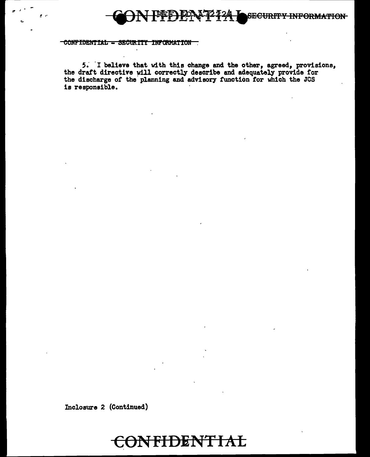## **SECURITY INFORMATION**

#### CONFIDENTIAL - SECURITY INFORMATION

5. I believe that with this change and the other, agreed, provisions, the draft directive will correctly describe and adequately provide for the discharge of the planning and advisory function for which the JCS is responsible.

Inclosure 2 (Continued)